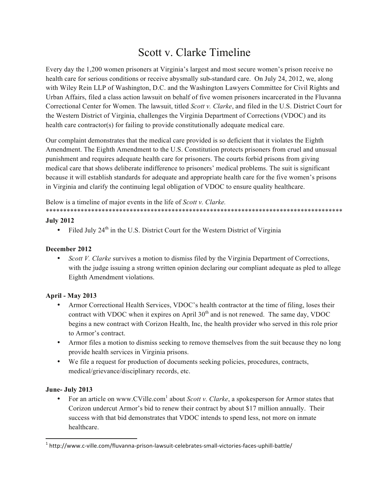# Scott v. Clarke Timeline

Every day the 1,200 women prisoners at Virginia's largest and most secure women's prison receive no health care for serious conditions or receive abysmally sub-standard care. On July 24, 2012, we, along with Wiley Rein LLP of Washington, D.C. and the Washington Lawyers Committee for Civil Rights and Urban Affairs, filed a class action lawsuit on behalf of five women prisoners incarcerated in the Fluvanna Correctional Center for Women. The lawsuit, titled *Scott v. Clarke*, and filed in the U.S. District Court for the Western District of Virginia, challenges the Virginia Department of Corrections (VDOC) and its health care contractor(s) for failing to provide constitutionally adequate medical care.

Our complaint demonstrates that the medical care provided is so deficient that it violates the Eighth Amendment. The Eighth Amendment to the U.S. Constitution protects prisoners from cruel and unusual punishment and requires adequate health care for prisoners. The courts forbid prisons from giving medical care that shows deliberate indifference to prisoners' medical problems. The suit is significant because it will establish standards for adequate and appropriate health care for the five women's prisons in Virginia and clarify the continuing legal obligation of VDOC to ensure quality healthcare.

Below is a timeline of major events in the life of *Scott v. Clarke.*

\*\*\*\*\*\*\*\*\*\*\*\*\*\*\*\*\*\*\*\*\*\*\*\*\*\*\*\*\*\*\*\*\*\*\*\*\*\*\*\*\*\*\*\*\*\*\*\*\*\*\*\*\*\*\*\*\*\*\*\*\*\*\*\*\*\*\*\*\*\*\*\*\*\*\*\*\*\*\*\*\*\*\*\*\*

#### **July 2012**

Filed July 24<sup>th</sup> in the U.S. District Court for the Western District of Virginia

### **December 2012**

• *Scott V. Clarke* survives a motion to dismiss filed by the Virginia Department of Corrections, with the judge issuing a strong written opinion declaring our compliant adequate as pled to allege Eighth Amendment violations.

## **April - May 2013**

- Armor Correctional Health Services, VDOC's health contractor at the time of filing, loses their contract with VDOC when it expires on April  $30<sup>th</sup>$  and is not renewed. The same day, VDOC begins a new contract with Corizon Health, Inc, the health provider who served in this role prior to Armor's contract.
- Armor files a motion to dismiss seeking to remove themselves from the suit because they no long provide health services in Virginia prisons.
- We file a request for production of documents seeking policies, procedures, contracts, medical/grievance/disciplinary records, etc.

## **June- July 2013**

• For an article on www.CVille.com<sup>1</sup> about *Scott v. Clarke*, a spokesperson for Armor states that Corizon undercut Armor's bid to renew their contract by about \$17 million annually. Their success with that bid demonstrates that VDOC intends to spend less, not more on inmate healthcare.

 $1$ http://www.c-ville.com/fluvanna-prison-lawsuit-celebrates-small-victories-faces-uphill-battle/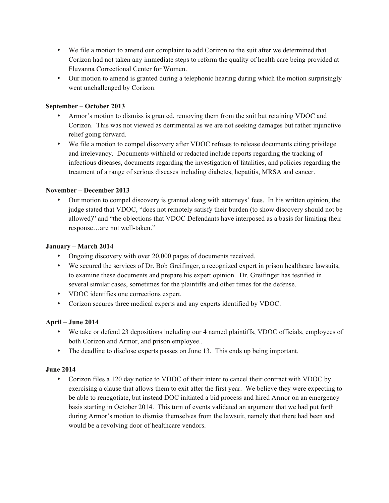- We file a motion to amend our complaint to add Corizon to the suit after we determined that Corizon had not taken any immediate steps to reform the quality of health care being provided at Fluvanna Correctional Center for Women.
- Our motion to amend is granted during a telephonic hearing during which the motion surprisingly went unchallenged by Corizon.

## **September – October 2013**

- Armor's motion to dismiss is granted, removing them from the suit but retaining VDOC and Corizon. This was not viewed as detrimental as we are not seeking damages but rather injunctive relief going forward.
- We file a motion to compel discovery after VDOC refuses to release documents citing privilege and irrelevancy. Documents withheld or redacted include reports regarding the tracking of infectious diseases, documents regarding the investigation of fatalities, and policies regarding the treatment of a range of serious diseases including diabetes, hepatitis, MRSA and cancer.

#### **November – December 2013**

• Our motion to compel discovery is granted along with attorneys' fees. In his written opinion, the judge stated that VDOC, "does not remotely satisfy their burden (to show discovery should not be allowed)" and "the objections that VDOC Defendants have interposed as a basis for limiting their response…are not well-taken."

#### **January – March 2014**

- Ongoing discovery with over 20,000 pages of documents received.
- We secured the services of Dr. Bob Greifinger, a recognized expert in prison healthcare lawsuits, to examine these documents and prepare his expert opinion. Dr. Greifinger has testified in several similar cases, sometimes for the plaintiffs and other times for the defense.
- VDOC identifies one corrections expert.
- Corizon secures three medical experts and any experts identified by VDOC.

#### **April – June 2014**

- We take or defend 23 depositions including our 4 named plaintiffs, VDOC officials, employees of both Corizon and Armor, and prison employee..
- The deadline to disclose experts passes on June 13. This ends up being important.

#### **June 2014**

• Corizon files a 120 day notice to VDOC of their intent to cancel their contract with VDOC by exercising a clause that allows them to exit after the first year. We believe they were expecting to be able to renegotiate, but instead DOC initiated a bid process and hired Armor on an emergency basis starting in October 2014. This turn of events validated an argument that we had put forth during Armor's motion to dismiss themselves from the lawsuit, namely that there had been and would be a revolving door of healthcare vendors.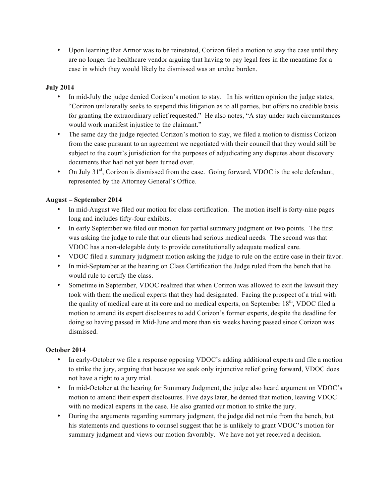• Upon learning that Armor was to be reinstated, Corizon filed a motion to stay the case until they are no longer the healthcare vendor arguing that having to pay legal fees in the meantime for a case in which they would likely be dismissed was an undue burden.

## **July 2014**

- In mid-July the judge denied Corizon's motion to stay. In his written opinion the judge states, "Corizon unilaterally seeks to suspend this litigation as to all parties, but offers no credible basis for granting the extraordinary relief requested." He also notes, "A stay under such circumstances would work manifest injustice to the claimant."
- The same day the judge rejected Corizon's motion to stay, we filed a motion to dismiss Corizon from the case pursuant to an agreement we negotiated with their council that they would still be subject to the court's jurisdiction for the purposes of adjudicating any disputes about discovery documents that had not yet been turned over.
- On July  $31<sup>st</sup>$ , Corizon is dismissed from the case. Going forward, VDOC is the sole defendant, represented by the Attorney General's Office.

## **August – September 2014**

- In mid-August we filed our motion for class certification. The motion itself is forty-nine pages long and includes fifty-four exhibits.
- In early September we filed our motion for partial summary judgment on two points. The first was asking the judge to rule that our clients had serious medical needs. The second was that VDOC has a non-delegable duty to provide constitutionally adequate medical care.
- VDOC filed a summary judgment motion asking the judge to rule on the entire case in their favor.
- In mid-September at the hearing on Class Certification the Judge ruled from the bench that he would rule to certify the class.
- Sometime in September, VDOC realized that when Corizon was allowed to exit the lawsuit they took with them the medical experts that they had designated. Facing the prospect of a trial with the quality of medical care at its core and no medical experts, on September  $18<sup>th</sup>$ , VDOC filed a motion to amend its expert disclosures to add Corizon's former experts, despite the deadline for doing so having passed in Mid-June and more than six weeks having passed since Corizon was dismissed.

## **October 2014**

- In early-October we file a response opposing VDOC's adding additional experts and file a motion to strike the jury, arguing that because we seek only injunctive relief going forward, VDOC does not have a right to a jury trial.
- In mid-October at the hearing for Summary Judgment, the judge also heard argument on VDOC's motion to amend their expert disclosures. Five days later, he denied that motion, leaving VDOC with no medical experts in the case. He also granted our motion to strike the jury.
- During the arguments regarding summary judgment, the judge did not rule from the bench, but his statements and questions to counsel suggest that he is unlikely to grant VDOC's motion for summary judgment and views our motion favorably. We have not yet received a decision.